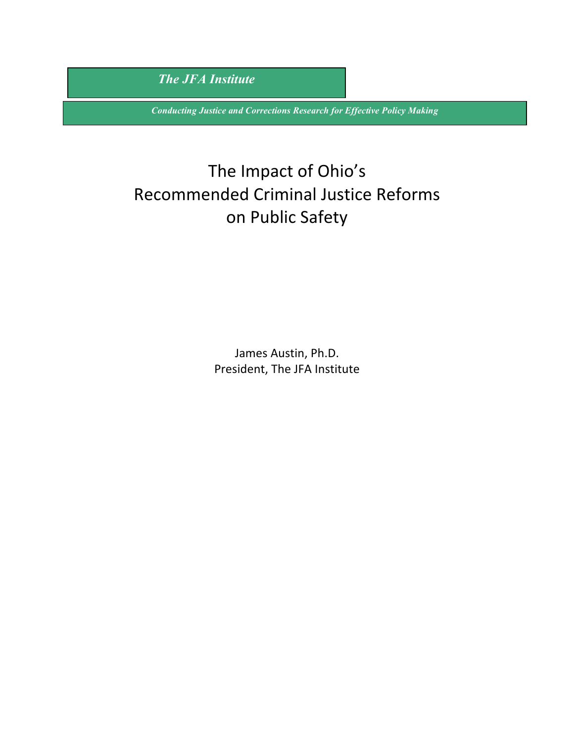*The JFA Institute*

*Conducting Justice and Corrections Research for Effective Policy Making*

# The Impact of Ohio's Recommended Criminal Justice Reforms on Public Safety

James Austin, Ph.D. President, The JFA Institute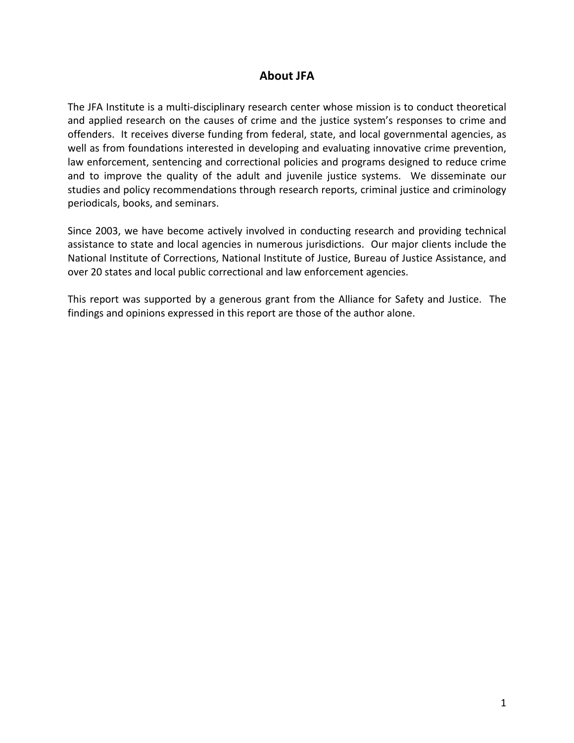#### **About JFA**

The JFA Institute is a multi-disciplinary research center whose mission is to conduct theoretical and applied research on the causes of crime and the justice system's responses to crime and offenders. It receives diverse funding from federal, state, and local governmental agencies, as well as from foundations interested in developing and evaluating innovative crime prevention, law enforcement, sentencing and correctional policies and programs designed to reduce crime and to improve the quality of the adult and juvenile justice systems. We disseminate our studies and policy recommendations through research reports, criminal justice and criminology periodicals, books, and seminars.

Since 2003, we have become actively involved in conducting research and providing technical assistance to state and local agencies in numerous jurisdictions. Our major clients include the National Institute of Corrections, National Institute of Justice, Bureau of Justice Assistance, and over 20 states and local public correctional and law enforcement agencies.

This report was supported by a generous grant from the Alliance for Safety and Justice. The findings and opinions expressed in this report are those of the author alone.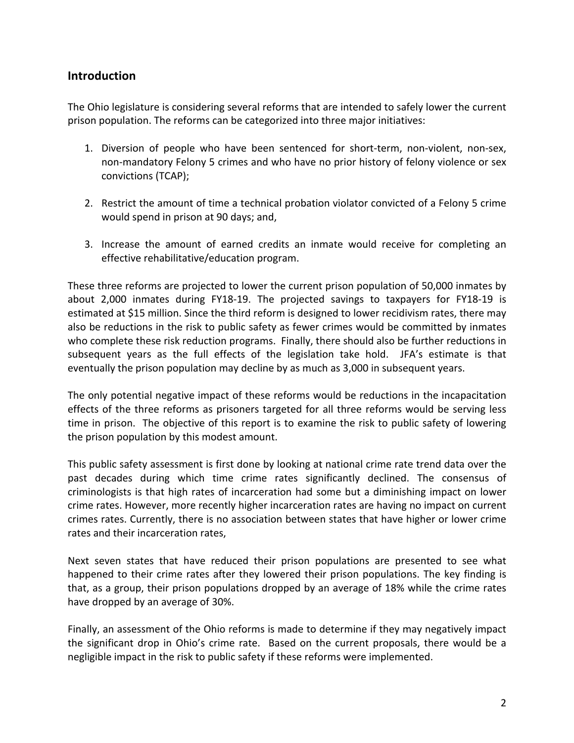## **Introduction**

The Ohio legislature is considering several reforms that are intended to safely lower the current prison population. The reforms can be categorized into three major initiatives:

- 1. Diversion of people who have been sentenced for short-term, non-violent, non-sex, non-mandatory Felony 5 crimes and who have no prior history of felony violence or sex convictions (TCAP);
- 2. Restrict the amount of time a technical probation violator convicted of a Felony 5 crime would spend in prison at 90 days; and,
- 3. Increase the amount of earned credits an inmate would receive for completing an effective rehabilitative/education program.

These three reforms are projected to lower the current prison population of 50,000 inmates by about 2,000 inmates during FY18-19. The projected savings to taxpayers for FY18-19 is estimated at \$15 million. Since the third reform is designed to lower recidivism rates, there may also be reductions in the risk to public safety as fewer crimes would be committed by inmates who complete these risk reduction programs. Finally, there should also be further reductions in subsequent years as the full effects of the legislation take hold. JFA's estimate is that eventually the prison population may decline by as much as 3,000 in subsequent years.

The only potential negative impact of these reforms would be reductions in the incapacitation effects of the three reforms as prisoners targeted for all three reforms would be serving less time in prison. The objective of this report is to examine the risk to public safety of lowering the prison population by this modest amount.

This public safety assessment is first done by looking at national crime rate trend data over the past decades during which time crime rates significantly declined. The consensus of criminologists is that high rates of incarceration had some but a diminishing impact on lower crime rates. However, more recently higher incarceration rates are having no impact on current crimes rates. Currently, there is no association between states that have higher or lower crime rates and their incarceration rates.

Next seven states that have reduced their prison populations are presented to see what happened to their crime rates after they lowered their prison populations. The key finding is that, as a group, their prison populations dropped by an average of 18% while the crime rates have dropped by an average of 30%.

Finally, an assessment of the Ohio reforms is made to determine if they may negatively impact the significant drop in Ohio's crime rate. Based on the current proposals, there would be a negligible impact in the risk to public safety if these reforms were implemented.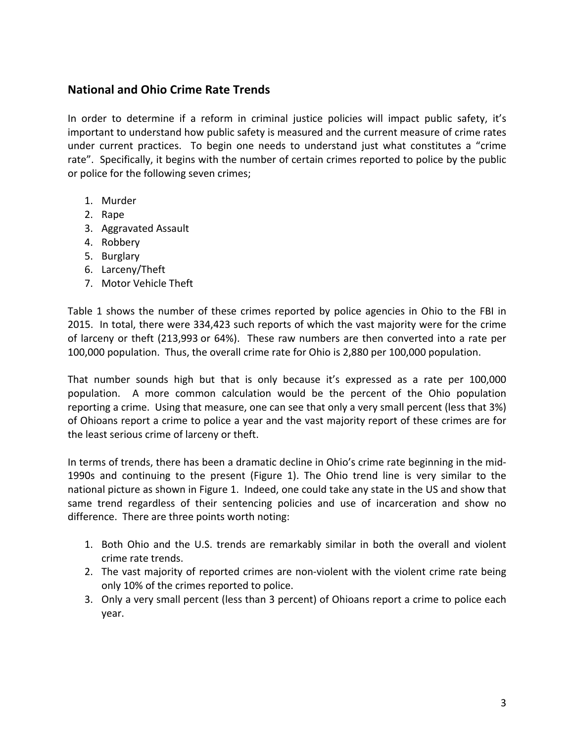## **National and Ohio Crime Rate Trends**

In order to determine if a reform in criminal justice policies will impact public safety, it's important to understand how public safety is measured and the current measure of crime rates under current practices. To begin one needs to understand just what constitutes a "crime rate". Specifically, it begins with the number of certain crimes reported to police by the public or police for the following seven crimes;

- 1. Murder
- 2. Rape
- 3. Aggravated Assault
- 4. Robbery
- 5. Burglary
- 6. Larceny/Theft
- 7. Motor Vehicle Theft

Table 1 shows the number of these crimes reported by police agencies in Ohio to the FBI in 2015. In total, there were 334,423 such reports of which the vast majority were for the crime of larceny or theft (213,993 or 64%). These raw numbers are then converted into a rate per 100,000 population. Thus, the overall crime rate for Ohio is 2,880 per 100,000 population.

That number sounds high but that is only because it's expressed as a rate per 100,000 population. A more common calculation would be the percent of the Ohio population reporting a crime. Using that measure, one can see that only a very small percent (less that 3%) of Ohioans report a crime to police a year and the vast majority report of these crimes are for the least serious crime of larceny or theft.

In terms of trends, there has been a dramatic decline in Ohio's crime rate beginning in the mid-1990s and continuing to the present (Figure 1). The Ohio trend line is very similar to the national picture as shown in Figure 1. Indeed, one could take any state in the US and show that same trend regardless of their sentencing policies and use of incarceration and show no difference. There are three points worth noting:

- 1. Both Ohio and the U.S. trends are remarkably similar in both the overall and violent crime rate trends.
- 2. The vast majority of reported crimes are non-violent with the violent crime rate being only 10% of the crimes reported to police.
- 3. Only a very small percent (less than 3 percent) of Ohioans report a crime to police each year.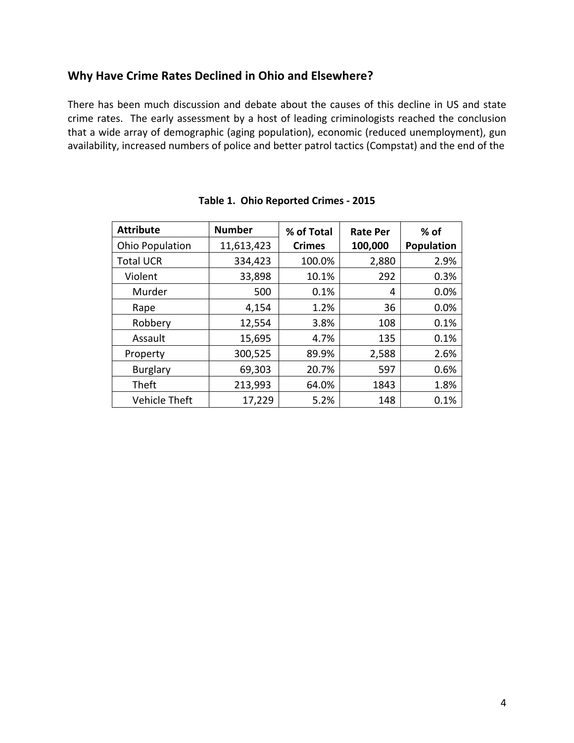## **Why Have Crime Rates Declined in Ohio and Elsewhere?**

There has been much discussion and debate about the causes of this decline in US and state crime rates. The early assessment by a host of leading criminologists reached the conclusion that a wide array of demographic (aging population), economic (reduced unemployment), gun availability, increased numbers of police and better patrol tactics (Compstat) and the end of the

| <b>Attribute</b>       | <b>Number</b> | % of Total    | <b>Rate Per</b> | % of              |
|------------------------|---------------|---------------|-----------------|-------------------|
| <b>Ohio Population</b> | 11,613,423    | <b>Crimes</b> | 100,000         | <b>Population</b> |
| <b>Total UCR</b>       | 334,423       | 100.0%        | 2,880           | 2.9%              |
| Violent                | 33,898        | 10.1%         | 292             | 0.3%              |
| Murder                 | 500           | 0.1%          | 4               | 0.0%              |
| Rape                   | 4,154         | 1.2%          | 36              | 0.0%              |
| Robbery                | 12,554        | 3.8%          | 108             | 0.1%              |
| Assault                | 15,695        | 4.7%          | 135             | 0.1%              |
| Property               | 300,525       | 89.9%         | 2,588           | 2.6%              |
| <b>Burglary</b>        | 69,303        | 20.7%         | 597             | 0.6%              |
| Theft                  | 213,993       | 64.0%         | 1843            | 1.8%              |
| Vehicle Theft          | 17,229        | 5.2%          | 148             | 0.1%              |

|  |  |  | Table 1. Ohio Reported Crimes - 2015 |
|--|--|--|--------------------------------------|
|--|--|--|--------------------------------------|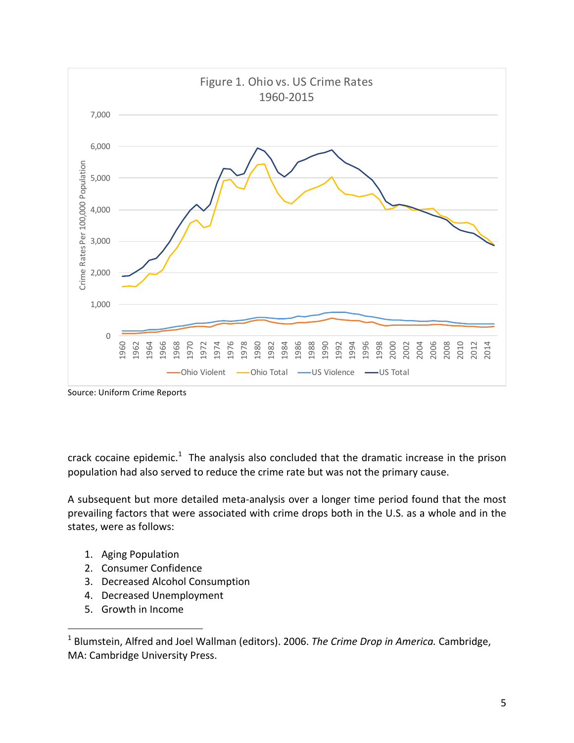

Source: Uniform Crime Reports

crack cocaine epidemic.<sup>1</sup> The analysis also concluded that the dramatic increase in the prison population had also served to reduce the crime rate but was not the primary cause.

A subsequent but more detailed meta-analysis over a longer time period found that the most prevailing factors that were associated with crime drops both in the U.S. as a whole and in the states, were as follows:

- 1. Aging Population
- 2. Consumer Confidence
- 3. Decreased Alcohol Consumption
- 4. Decreased Unemployment
- 5. Growth in Income

 

<sup>&</sup>lt;sup>1</sup> Blumstein, Alfred and Joel Wallman (editors). 2006. *The Crime Drop in America*. Cambridge, MA: Cambridge University Press.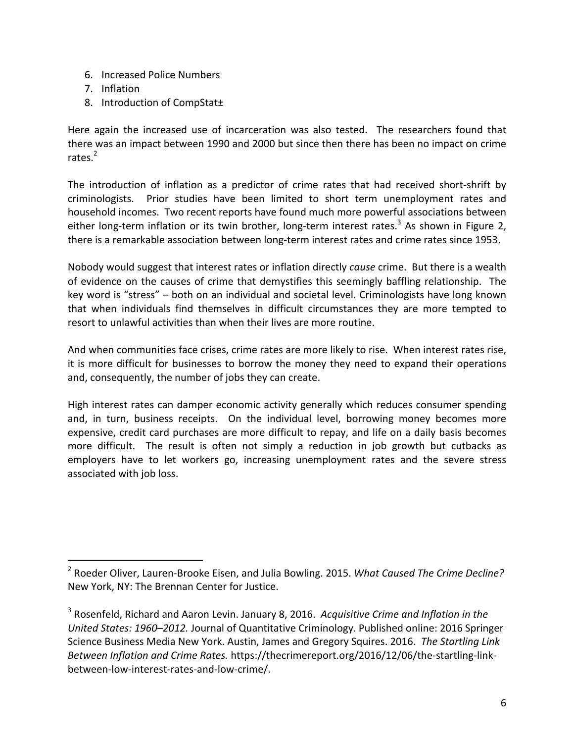- 6. Increased Police Numbers
- 7. Inflation
- 8. Introduction of CompStat±

 

Here again the increased use of incarceration was also tested. The researchers found that there was an impact between 1990 and 2000 but since then there has been no impact on crime rates.<sup>2</sup>

The introduction of inflation as a predictor of crime rates that had received short-shrift by criminologists. Prior studies have been limited to short term unemployment rates and household incomes. Two recent reports have found much more powerful associations between either long-term inflation or its twin brother, long-term interest rates.<sup>3</sup> As shown in Figure 2, there is a remarkable association between long-term interest rates and crime rates since 1953.

Nobody would suggest that interest rates or inflation directly *cause* crime. But there is a wealth of evidence on the causes of crime that demystifies this seemingly baffling relationship. The key word is "stress" – both on an individual and societal level. Criminologists have long known that when individuals find themselves in difficult circumstances they are more tempted to resort to unlawful activities than when their lives are more routine.

And when communities face crises, crime rates are more likely to rise. When interest rates rise, it is more difficult for businesses to borrow the money they need to expand their operations and, consequently, the number of jobs they can create.

High interest rates can damper economic activity generally which reduces consumer spending and, in turn, business receipts. On the individual level, borrowing money becomes more expensive, credit card purchases are more difficult to repay, and life on a daily basis becomes more difficult. The result is often not simply a reduction in job growth but cutbacks as employers have to let workers go, increasing unemployment rates and the severe stress associated with job loss.

<sup>&</sup>lt;sup>2</sup> Roeder Oliver, Lauren-Brooke Eisen, and Julia Bowling. 2015. What Caused The Crime Decline? New York, NY: The Brennan Center for Justice.

<sup>&</sup>lt;sup>3</sup> Rosenfeld, Richard and Aaron Levin. January 8, 2016. Acquisitive Crime and Inflation in the *United States: 1960–2012.* Journal of Quantitative Criminology. Published online: 2016 Springer Science Business Media New York. Austin, James and Gregory Squires. 2016. The Startling Link Between Inflation and Crime Rates. https://thecrimereport.org/2016/12/06/the-startling-linkbetween-low-interest-rates-and-low-crime/.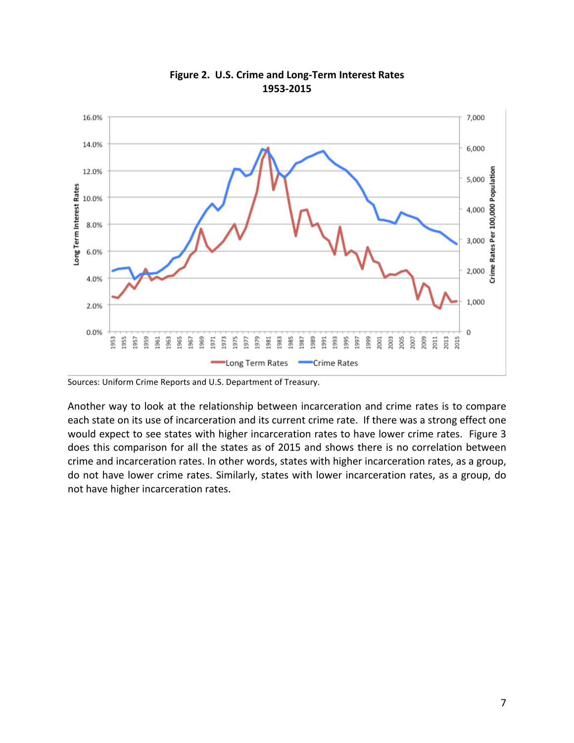

#### Figure 2. U.S. Crime and Long-Term Interest Rates **1953-2015**

Another way to look at the relationship between incarceration and crime rates is to compare each state on its use of incarceration and its current crime rate. If there was a strong effect one would expect to see states with higher incarceration rates to have lower crime rates. Figure 3 does this comparison for all the states as of 2015 and shows there is no correlation between crime and incarceration rates. In other words, states with higher incarceration rates, as a group, do not have lower crime rates. Similarly, states with lower incarceration rates, as a group, do not have higher incarceration rates.

Sources: Uniform Crime Reports and U.S. Department of Treasury.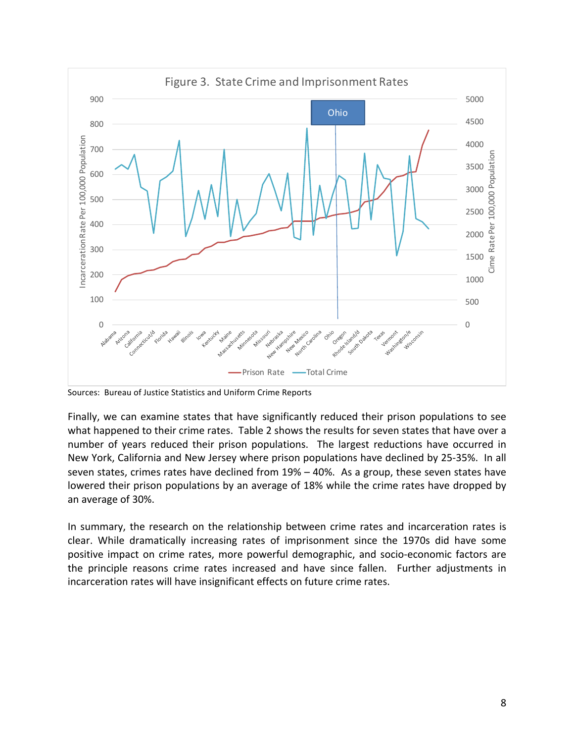

Sources: Bureau of Justice Statistics and Uniform Crime Reports

Finally, we can examine states that have significantly reduced their prison populations to see what happened to their crime rates. Table 2 shows the results for seven states that have over a number of years reduced their prison populations. The largest reductions have occurred in New York, California and New Jersey where prison populations have declined by 25-35%. In all seven states, crimes rates have declined from  $19% - 40%$ . As a group, these seven states have lowered their prison populations by an average of 18% while the crime rates have dropped by an average of 30%.

In summary, the research on the relationship between crime rates and incarceration rates is clear. While dramatically increasing rates of imprisonment since the 1970s did have some positive impact on crime rates, more powerful demographic, and socio-economic factors are the principle reasons crime rates increased and have since fallen. Further adjustments in incarceration rates will have insignificant effects on future crime rates.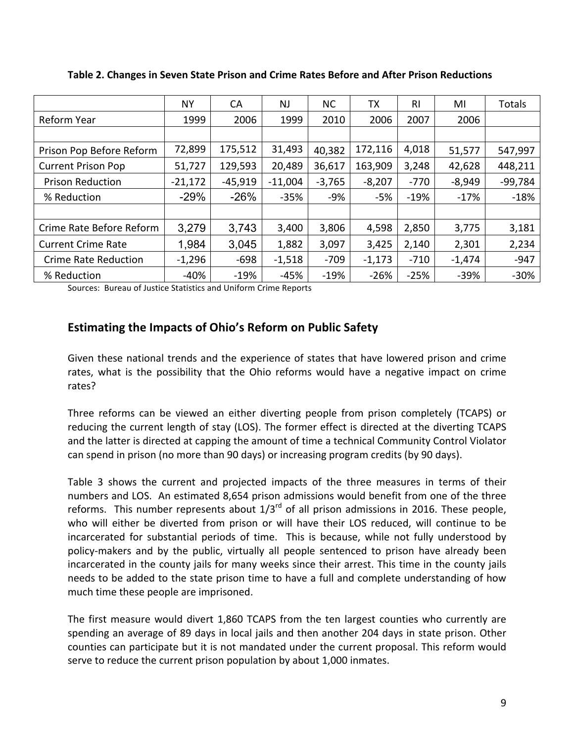|                             | <b>NY</b> | CA        | <b>NJ</b> | <b>NC</b> | TХ       | RI     | MI       | Totals    |
|-----------------------------|-----------|-----------|-----------|-----------|----------|--------|----------|-----------|
| Reform Year                 | 1999      | 2006      | 1999      | 2010      | 2006     | 2007   | 2006     |           |
|                             |           |           |           |           |          |        |          |           |
| Prison Pop Before Reform    | 72,899    | 175,512   | 31,493    | 40,382    | 172,116  | 4,018  | 51,577   | 547,997   |
| <b>Current Prison Pop</b>   | 51,727    | 129,593   | 20,489    | 36,617    | 163,909  | 3,248  | 42,628   | 448,211   |
| <b>Prison Reduction</b>     | $-21,172$ | $-45,919$ | $-11,004$ | $-3,765$  | $-8,207$ | -770   | $-8,949$ | $-99,784$ |
| % Reduction                 | $-29\%$   | $-26%$    | $-35%$    | $-9%$     | -5%      | $-19%$ | $-17%$   | $-18%$    |
|                             |           |           |           |           |          |        |          |           |
| Crime Rate Before Reform    | 3,279     | 3,743     | 3,400     | 3,806     | 4,598    | 2,850  | 3,775    | 3,181     |
| <b>Current Crime Rate</b>   | 1,984     | 3,045     | 1,882     | 3,097     | 3,425    | 2,140  | 2,301    | 2,234     |
| <b>Crime Rate Reduction</b> | $-1,296$  | $-698$    | $-1,518$  | $-709$    | $-1,173$ | $-710$ | $-1,474$ | $-947$    |
| % Reduction                 | $-40%$    | $-19%$    | $-45%$    | $-19%$    | $-26%$   | $-25%$ | $-39%$   | $-30%$    |

**Table 2. Changes in Seven State Prison and Crime Rates Before and After Prison Reductions**

Sources: Bureau of Justice Statistics and Uniform Crime Reports

#### **Estimating the Impacts of Ohio's Reform on Public Safety**

Given these national trends and the experience of states that have lowered prison and crime rates, what is the possibility that the Ohio reforms would have a negative impact on crime rates? 

Three reforms can be viewed an either diverting people from prison completely (TCAPS) or reducing the current length of stay (LOS). The former effect is directed at the diverting TCAPS and the latter is directed at capping the amount of time a technical Community Control Violator can spend in prison (no more than 90 days) or increasing program credits (by 90 days).

Table 3 shows the current and projected impacts of the three measures in terms of their numbers and LOS. An estimated 8,654 prison admissions would benefit from one of the three reforms. This number represents about  $1/3^{rd}$  of all prison admissions in 2016. These people, who will either be diverted from prison or will have their LOS reduced, will continue to be incarcerated for substantial periods of time. This is because, while not fully understood by policy-makers and by the public, virtually all people sentenced to prison have already been incarcerated in the county jails for many weeks since their arrest. This time in the county jails needs to be added to the state prison time to have a full and complete understanding of how much time these people are imprisoned.

The first measure would divert 1,860 TCAPS from the ten largest counties who currently are spending an average of 89 days in local jails and then another 204 days in state prison. Other counties can participate but it is not mandated under the current proposal. This reform would serve to reduce the current prison population by about 1,000 inmates.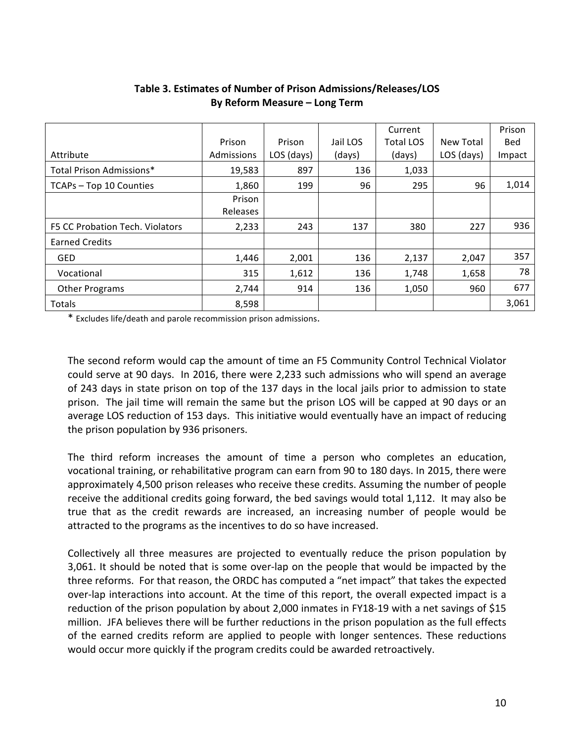|                                 |            |            |          | Current          |            | Prison |
|---------------------------------|------------|------------|----------|------------------|------------|--------|
|                                 | Prison     | Prison     | Jail LOS | <b>Total LOS</b> | New Total  | Bed    |
| Attribute                       | Admissions | LOS (days) | (days)   | (days)           | LOS (days) | Impact |
| Total Prison Admissions*        | 19,583     | 897        | 136      | 1,033            |            |        |
| TCAPs - Top 10 Counties         | 1,860      | 199        | 96       | 295              | 96         | 1,014  |
|                                 | Prison     |            |          |                  |            |        |
|                                 | Releases   |            |          |                  |            |        |
| F5 CC Probation Tech. Violators | 2,233      | 243        | 137      | 380              | 227        | 936    |
| <b>Earned Credits</b>           |            |            |          |                  |            |        |
| <b>GED</b>                      | 1,446      | 2,001      | 136      | 2,137            | 2,047      | 357    |
| Vocational                      | 315        | 1,612      | 136      | 1,748            | 1,658      | 78     |
| <b>Other Programs</b>           | 2,744      | 914        | 136      | 1,050            | 960        | 677    |
| Totals                          | 8,598      |            |          |                  |            | 3,061  |

## **Table 3. Estimates of Number of Prison Admissions/Releases/LOS By Reform Measure – Long Term**

\* Excludes life/death and parole recommission prison admissions.

The second reform would cap the amount of time an F5 Community Control Technical Violator could serve at 90 days. In 2016, there were 2,233 such admissions who will spend an average of 243 days in state prison on top of the 137 days in the local jails prior to admission to state prison. The jail time will remain the same but the prison LOS will be capped at 90 days or an average LOS reduction of 153 days. This initiative would eventually have an impact of reducing the prison population by 936 prisoners.

The third reform increases the amount of time a person who completes an education, vocational training, or rehabilitative program can earn from 90 to 180 days. In 2015, there were approximately 4,500 prison releases who receive these credits. Assuming the number of people receive the additional credits going forward, the bed savings would total 1,112. It may also be true that as the credit rewards are increased, an increasing number of people would be attracted to the programs as the incentives to do so have increased.

Collectively all three measures are projected to eventually reduce the prison population by 3,061. It should be noted that is some over-lap on the people that would be impacted by the three reforms. For that reason, the ORDC has computed a "net impact" that takes the expected over-lap interactions into account. At the time of this report, the overall expected impact is a reduction of the prison population by about 2,000 inmates in FY18-19 with a net savings of \$15 million. JFA believes there will be further reductions in the prison population as the full effects of the earned credits reform are applied to people with longer sentences. These reductions would occur more quickly if the program credits could be awarded retroactively.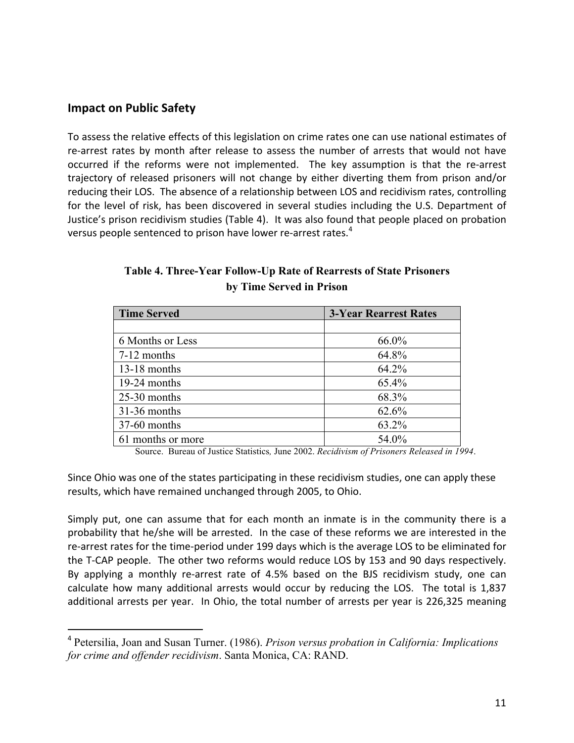## **Impact on Public Safety**

 

To assess the relative effects of this legislation on crime rates one can use national estimates of re-arrest rates by month after release to assess the number of arrests that would not have occurred if the reforms were not implemented. The key assumption is that the re-arrest trajectory of released prisoners will not change by either diverting them from prison and/or reducing their LOS. The absence of a relationship between LOS and recidivism rates, controlling for the level of risk, has been discovered in several studies including the U.S. Department of Justice's prison recidivism studies (Table 4). It was also found that people placed on probation versus people sentenced to prison have lower re-arrest rates.<sup>4</sup>

| <b>Time Served</b> | <b>3-Year Rearrest Rates</b> |  |  |
|--------------------|------------------------------|--|--|
|                    |                              |  |  |
| 6 Months or Less   | 66.0%                        |  |  |
| 7-12 months        | 64.8%                        |  |  |
| $13-18$ months     | 64.2%                        |  |  |
| 19-24 months       | 65.4%                        |  |  |
| $25-30$ months     | 68.3%                        |  |  |
| $31-36$ months     | 62.6%                        |  |  |
| 37-60 months       | 63.2%                        |  |  |
| 61 months or more  | 54.0%                        |  |  |

## **Table 4. Three-Year Follow-Up Rate of Rearrests of State Prisoners by Time Served in Prison**

Source. Bureau of Justice Statistics*,* June 2002. *Recidivism of Prisoners Released in 1994*.

Since Ohio was one of the states participating in these recidivism studies, one can apply these results, which have remained unchanged through 2005, to Ohio.

Simply put, one can assume that for each month an inmate is in the community there is a probability that he/she will be arrested. In the case of these reforms we are interested in the re-arrest rates for the time-period under 199 days which is the average LOS to be eliminated for the T-CAP people. The other two reforms would reduce LOS by 153 and 90 days respectively. By applying a monthly re-arrest rate of 4.5% based on the BJS recidivism study, one can calculate how many additional arrests would occur by reducing the LOS. The total is 1,837 additional arrests per year. In Ohio, the total number of arrests per year is 226,325 meaning

<sup>4</sup> Petersilia, Joan and Susan Turner. (1986). *Prison versus probation in California: Implications for crime and offender recidivism*. Santa Monica, CA: RAND.